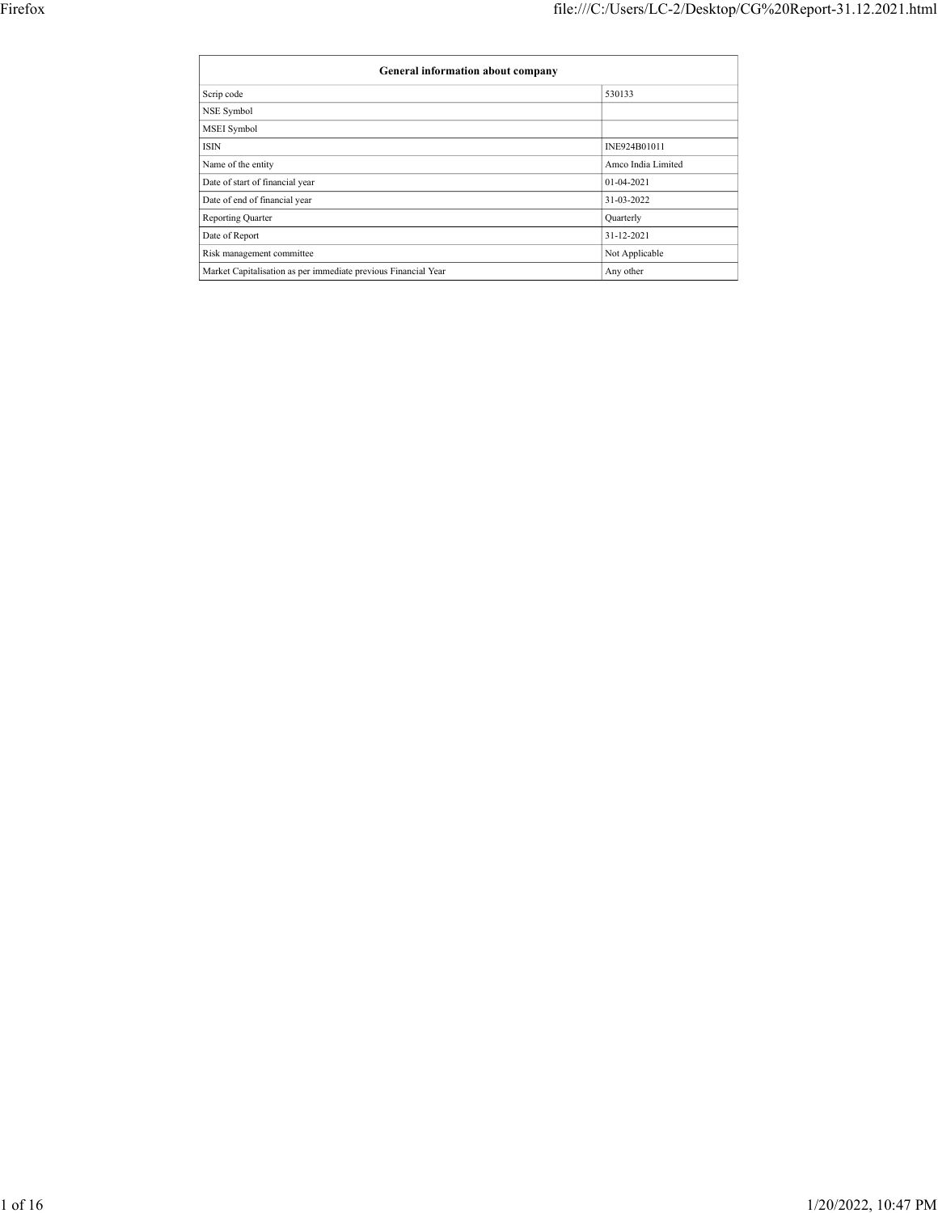|                                             | file:///C:/Users/LC-2/Desktop/CG%20Report-31.12.2021.html |
|---------------------------------------------|-----------------------------------------------------------|
|                                             |                                                           |
|                                             |                                                           |
|                                             |                                                           |
| General information about company           |                                                           |
| Scrip code                                  | 530133                                                    |
| NSE Symbol                                  |                                                           |
| MSEI Symbol                                 |                                                           |
| ISIN                                        | INE924B01011                                              |
| Name of the entity                          | Amco India Limited                                        |
| Date of start of financial year             | $01 - 04 - 2021$                                          |
| Date of end of financial year               | 31-03-2022                                                |
| Reporting Quarter                           | Quarterly                                                 |
|                                             | 31-12-2021                                                |
| Date of Report<br>Risk management committee | $\operatorname{\mathsf{Not}}$ Applicable                  |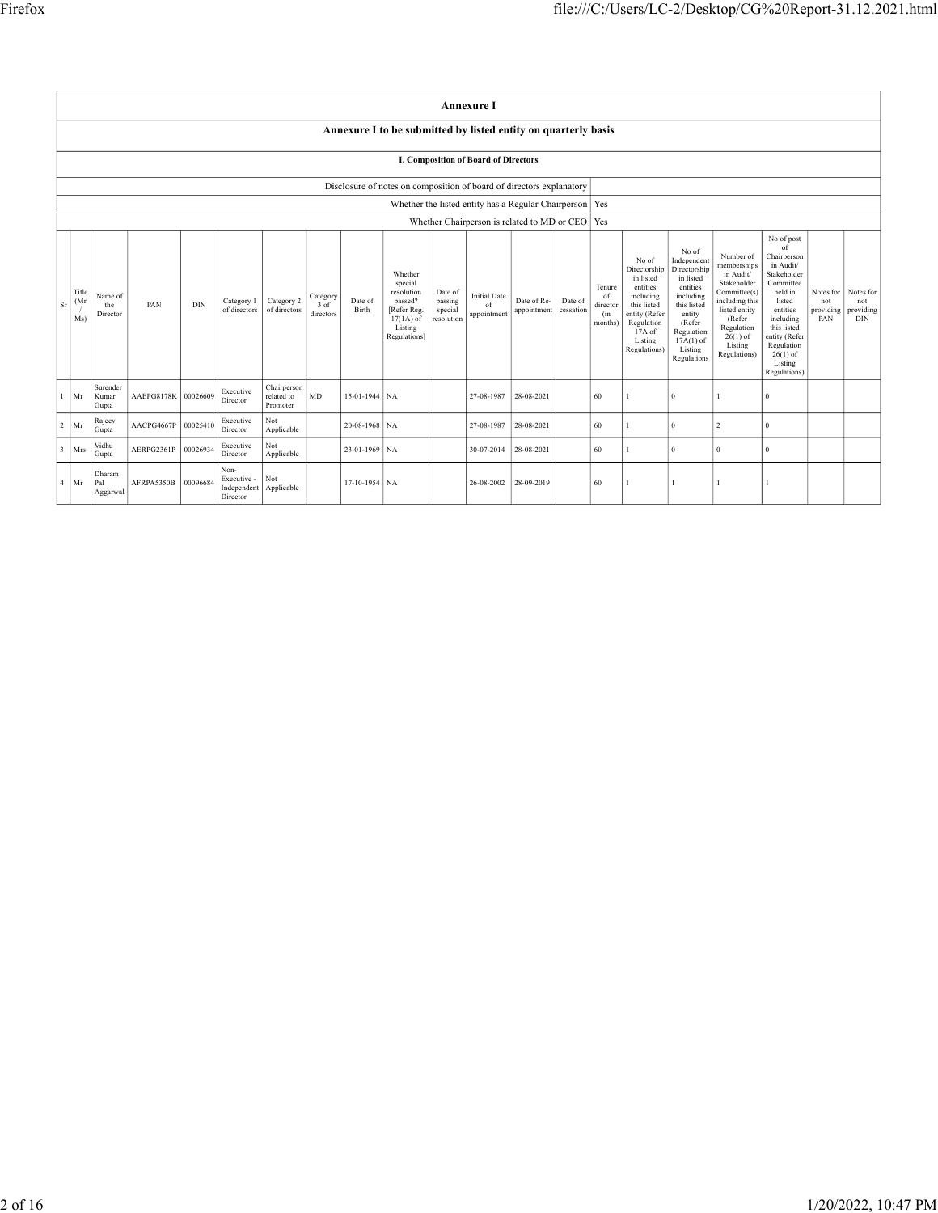| $\overline{\text{F}}$ irefox |                                                                                                           |                                            |     |                                   |                                 |             |                                                                      |                                                    |                    |                                      |                                                           |                |                                       |                                                   | file:///C:/Users/LC-2/Desktop/CG%20Report-31.12.2021.html |                                                                                              |                            |     |
|------------------------------|-----------------------------------------------------------------------------------------------------------|--------------------------------------------|-----|-----------------------------------|---------------------------------|-------------|----------------------------------------------------------------------|----------------------------------------------------|--------------------|--------------------------------------|-----------------------------------------------------------|----------------|---------------------------------------|---------------------------------------------------|-----------------------------------------------------------|----------------------------------------------------------------------------------------------|----------------------------|-----|
|                              |                                                                                                           |                                            |     |                                   |                                 |             |                                                                      |                                                    |                    |                                      |                                                           |                |                                       |                                                   |                                                           |                                                                                              |                            |     |
|                              |                                                                                                           |                                            |     |                                   |                                 |             |                                                                      |                                                    |                    |                                      |                                                           |                |                                       |                                                   |                                                           |                                                                                              |                            |     |
|                              |                                                                                                           |                                            |     |                                   |                                 |             |                                                                      |                                                    |                    |                                      |                                                           |                |                                       |                                                   |                                                           |                                                                                              |                            |     |
|                              |                                                                                                           |                                            |     |                                   |                                 |             |                                                                      |                                                    |                    | <b>Annexure I</b>                    |                                                           |                |                                       |                                                   |                                                           |                                                                                              |                            |     |
|                              |                                                                                                           |                                            |     |                                   |                                 |             | Annexure I to be submitted by listed entity on quarterly basis       |                                                    |                    |                                      |                                                           |                |                                       |                                                   |                                                           |                                                                                              |                            |     |
|                              |                                                                                                           |                                            |     |                                   |                                 |             |                                                                      |                                                    |                    | I. Composition of Board of Directors |                                                           |                |                                       |                                                   |                                                           |                                                                                              |                            |     |
|                              |                                                                                                           |                                            |     |                                   |                                 |             | Disclosure of notes on composition of board of directors explanatory |                                                    |                    |                                      | Whether the listed entity has a Regular Chairperson   Yes |                |                                       |                                                   |                                                           |                                                                                              |                            |     |
|                              |                                                                                                           |                                            |     |                                   |                                 |             |                                                                      |                                                    |                    |                                      | Whether Chairperson is related to MD or CEO   Yes         |                |                                       |                                                   |                                                           |                                                                                              |                            |     |
|                              |                                                                                                           |                                            |     |                                   |                                 |             |                                                                      |                                                    |                    |                                      |                                                           |                | No of<br>Directorship<br>in listed    | No of<br>Independent<br>Directorship<br>in listed | Number of<br>memberships<br>in Audit/<br>Stakeholder      | No of $\mathop{\mathrm{post}}$<br>of<br>Chairperson<br>in Audit/<br>Stakeholder<br>Committee |                            |     |
|                              |                                                                                                           |                                            |     |                                   |                                 |             |                                                                      | Whether                                            |                    |                                      |                                                           | Tenure         | entities                              | entities<br>including                             | Committee(s)                                              | held in                                                                                      | Notes for Notes for        |     |
|                              | Title<br>Name of<br>the                                                                                   | PAN                                        | DIN |                                   | Category 1   Category 2         | $3 \circ f$ | Date of                                                              | special<br>resolution<br>passed?                   | Date of<br>passing | <b>Initial Date</b><br>of            | Date of Re- Date of                                       | of<br>director | ncluding<br>this listed               | this listed                                       | including this                                            | listed                                                                                       | not                        | not |
|                              | $S_r$ $(Mr)$<br>Director<br>Ms)                                                                           |                                            |     |                                   | of directors of directors       | directors   | Birth                                                                | [Refer Reg.  <br>$17(1A)$ of resolution<br>Listing | special            | appointment                          | appointment eessation                                     | (in<br>months) | entity (Refer<br>Regulation<br>17A of | entity<br>(Refer<br>Regulation                    | listed entity<br>(Refer<br>Regulation                     | entities<br>including<br>this listed                                                         | providing providing<br>PAN | DIN |
|                              |                                                                                                           |                                            |     |                                   |                                 |             |                                                                      | Regulations]                                       |                    |                                      |                                                           |                | Listing<br>Regulations)               | $17A(1)$ of<br>Listing<br>Regulations             | $26(1)$ of<br>Listing<br>Regulations)                     | entity (Refer<br>Regulation<br>$26(1)$ of                                                    |                            |     |
|                              | Surender<br>1   Mr   Kumar                                                                                | AAEPG8178K 00026609                        |     | Executive                         | Chairperson<br>related to MD    |             | $15-01-1944$ NA                                                      |                                                    |                    |                                      | 27-08-1987 28-08-2021                                     | 60             | $\mathbf{1}$                          | $\vert 0 \vert$                                   | $\vert$ 1                                                 | Listing<br>Regulations)<br>$\sqrt{0}$                                                        |                            |     |
|                              | Gupta<br>Rajeev                                                                                           |                                            |     | Director<br>Executive             | Promoter<br>Not                 |             | $20-08-1968$ NA                                                      |                                                    |                    |                                      | 27-08-1987 28-08-2021                                     | 60             | $\mathbf{1}$                          | $\vert 0 \vert$                                   | $\vert 2 \vert$                                           | $\bf{0}$                                                                                     |                            |     |
|                              | $2 \mid Mr$<br>Gupta<br>$\begin{array}{ c c c }\hline 3 & \mbox{Mrs} & \mbox{Gupta} \\\hline \end{array}$ | AACPG4667P 00025410<br>AERPG2361P 00026934 |     | Director<br>Executive<br>Director | Applicable<br>Not<br>Applicable |             | 23-01-1969 NA                                                        |                                                    |                    |                                      | 30-07-2014 28-08-2021                                     | $\vert$ 60     | $\mathbf{1}$                          | $\vert 0 \vert$                                   | $\vert 0 \vert$                                           | $\Omega$                                                                                     |                            |     |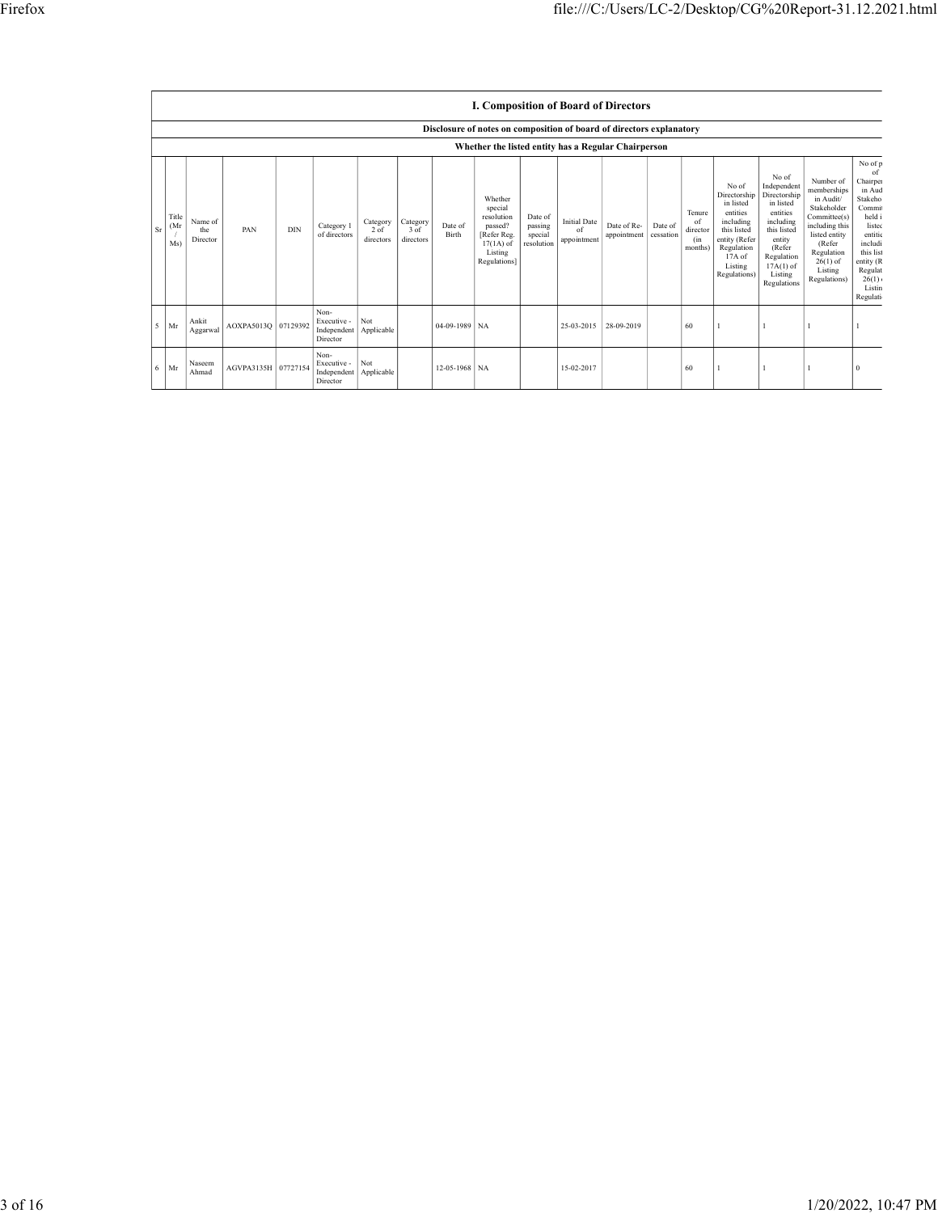|                                                                               |                         |                     |                                          |                        |                  |                  |                                                            |                               |                           | file:///C:/Users/LC-2/Desktop/CG%20Report-31.12.2021.html            |                          |                                                                  |                                                                                |                                                                                                                                  |
|-------------------------------------------------------------------------------|-------------------------|---------------------|------------------------------------------|------------------------|------------------|------------------|------------------------------------------------------------|-------------------------------|---------------------------|----------------------------------------------------------------------|--------------------------|------------------------------------------------------------------|--------------------------------------------------------------------------------|----------------------------------------------------------------------------------------------------------------------------------|
|                                                                               |                         |                     |                                          |                        |                  |                  |                                                            |                               |                           |                                                                      |                          |                                                                  |                                                                                |                                                                                                                                  |
|                                                                               |                         |                     |                                          |                        |                  |                  |                                                            |                               |                           |                                                                      |                          |                                                                  |                                                                                |                                                                                                                                  |
|                                                                               |                         |                     |                                          |                        |                  |                  |                                                            |                               |                           | I. Composition of Board of Directors                                 |                          |                                                                  |                                                                                |                                                                                                                                  |
|                                                                               |                         |                     |                                          |                        |                  |                  |                                                            |                               |                           | Disclosure of notes on composition of board of directors explanatory |                          |                                                                  |                                                                                |                                                                                                                                  |
|                                                                               |                         |                     |                                          |                        |                  |                  |                                                            |                               |                           | Whether the listed entity has a Regular Chairperson                  |                          | No of                                                            | No of<br>Independent                                                           | No of p<br>Number of<br>Chairper<br>memberships<br>in Aud                                                                        |
| $\begin{array}{c}\n\text{Title} \\ (\text{Mr}\quad \end{array}$<br>$\sqrt{ }$ | Name of the $% \alpha$  | PAN                 | Category 1<br>$\rm{DIN}$<br>of directors | Category $_{\rm 2~of}$ | Category<br>3 of | Date of<br>Birth | Whether<br>special<br>resolution<br>passed?<br>[Refer Reg. | Date of<br>passing<br>special | <b>Initial Date</b><br>of | Date of Re- Date of<br>appointment eessation                         | Tenure<br>of<br>director | in listed<br>entities<br>including<br>this listed                | Directorship Directorship<br>in listed<br>entities<br>including<br>this listed | in Audit/<br>Stakeho<br>Stakeholder<br>Commi<br>Committee(s)<br>held i<br>including this<br>listec<br>listed entity<br>entitie   |
| Ms)                                                                           | Director                |                     |                                          | directors              | directors        |                  | $17(1A)$ of<br>Listing<br>Regulations]                     | resolution                    | appointment               |                                                                      | (in<br>months)           | entity (Refer<br>Regulation<br>17A of<br>Listing<br>Regulations) | entity<br>(Refer<br>Regulation<br>$17A(1)$ of<br>Listing<br>Regulations        | (Refer<br>includi<br>Regulation<br>this list<br>$26(1)$ of<br>entity (R<br>Listing<br>Regulat<br>Regulations)<br>26(1)<br>Listin |
| Sr<br>$5$ Mr                                                                  | Ankit<br>$\rm Aggarwal$ | AOXPA5013Q 07129392 | Non-<br>Executive - Not<br>Director      | Independent Applicable |                  | 04-09-1989 NA    |                                                            |                               |                           | 25-03-2015 28-09-2019                                                | 60                       | $\perp$                                                          | $\vert$ 1                                                                      | <b>Legulati</b>                                                                                                                  |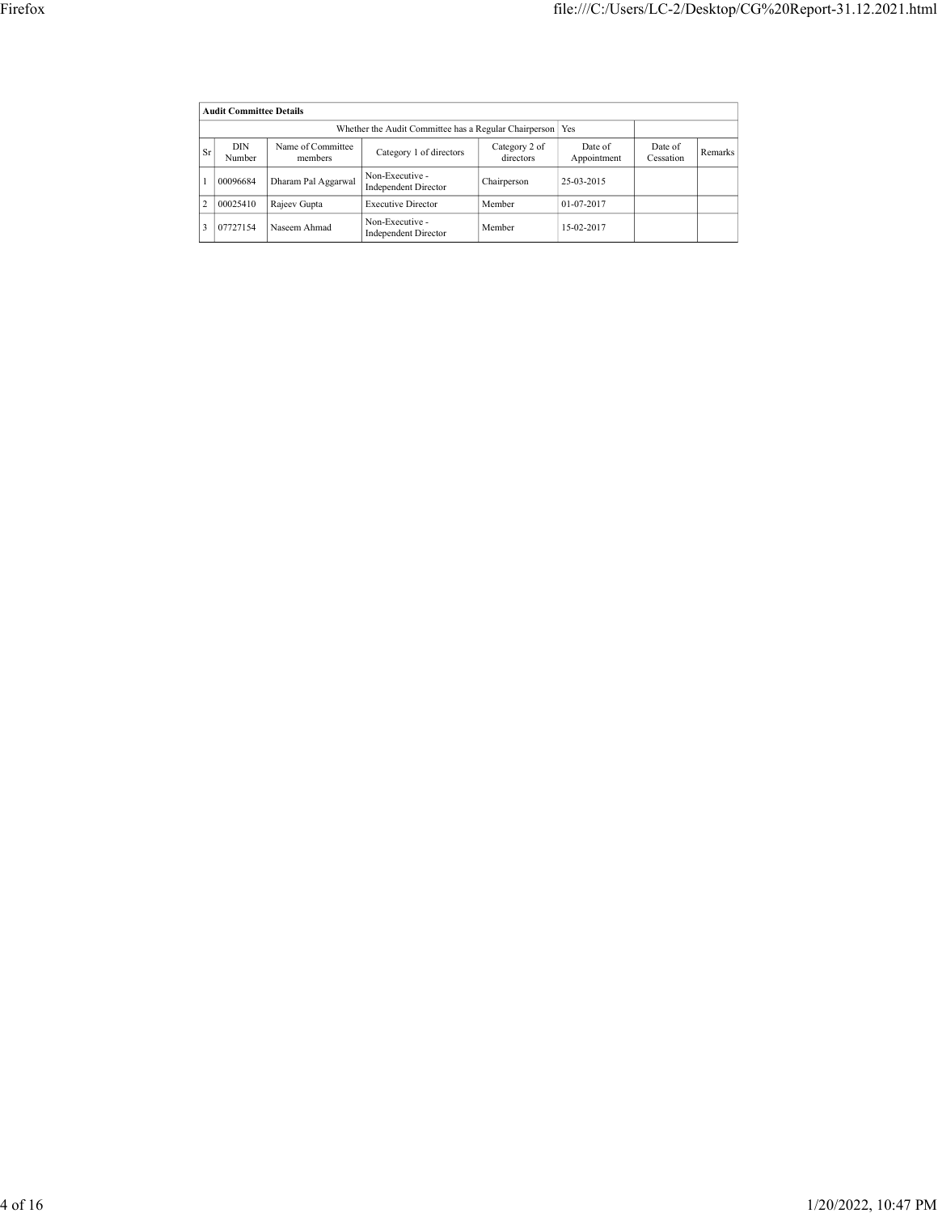|                                 |                                |                                                           |                            | file:///C:/Users/LC-2/Desktop/CG%20Report-31.12.2021.html |                      |                  |
|---------------------------------|--------------------------------|-----------------------------------------------------------|----------------------------|-----------------------------------------------------------|----------------------|------------------|
|                                 |                                |                                                           |                            |                                                           |                      |                  |
|                                 |                                |                                                           |                            |                                                           |                      |                  |
|                                 | <b>Audit Committee Details</b> |                                                           |                            |                                                           |                      |                  |
|                                 |                                | Whether the Audit Committee has a Regular Chairperson Yes |                            |                                                           |                      |                  |
| $\rm{DIN}$<br>$ S_r $<br>Number | Name of Committee<br>members   | Category 1 of directors                                   | Category 2 of<br>directors | Date of $\,$<br>Appointment                               | Date of<br>Cessation | $\mbox{Remarks}$ |
| 00096684<br>1                   | Dharam Pal Aggarwal            | Non-Executive -<br>Independent Director                   | Chairperson                | 25-03-2015                                                |                      |                  |
| $\vert$ 2<br>00025410           | Rajeev Gupta                   | <b>Executive Director</b>                                 | Member                     | 01-07-2017                                                |                      |                  |
| 3   07727154                    | Naseem Ahmad                   | Non-Executive -<br>Independent Director                   | Member                     | 15-02-2017                                                |                      |                  |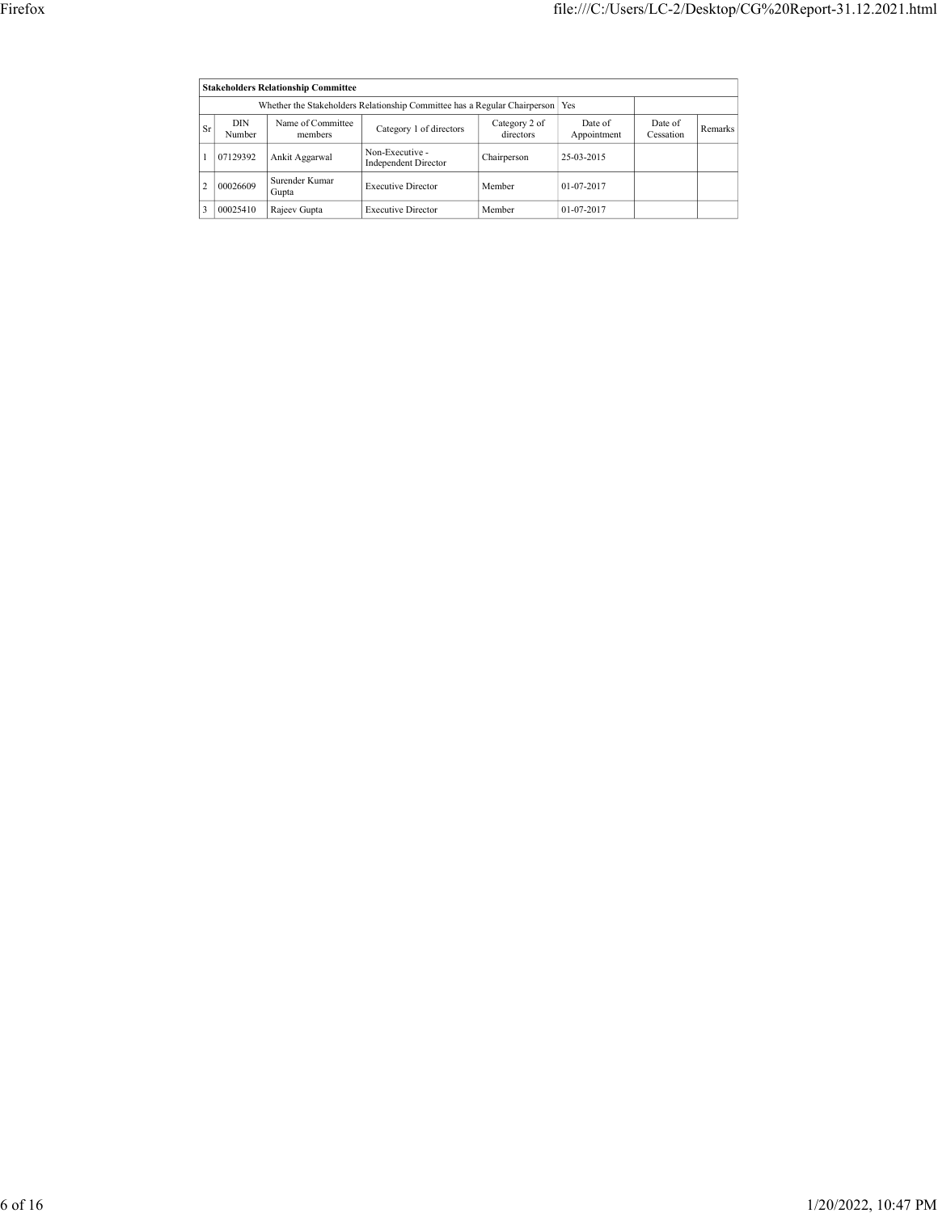|              |                      |                                          |                                                                               |                                   | file:///C:/Users/LC-2/Desktop/CG%20Report-31.12.2021.html |                      |         |
|--------------|----------------------|------------------------------------------|-------------------------------------------------------------------------------|-----------------------------------|-----------------------------------------------------------|----------------------|---------|
|              |                      |                                          |                                                                               |                                   |                                                           |                      |         |
|              |                      | Stakeholders Relationship Committee      |                                                                               |                                   |                                                           |                      |         |
|              |                      |                                          | Whether the Stakeholders Relationship Committee has a Regular Chairperson Yes |                                   |                                                           |                      |         |
| Sr           | $\rm{DIN}$<br>Number | Name of Committee<br>members             | Category 1 of directors                                                       | Category $2$ of $\,$<br>directors | Date of $\,$<br>${\large \bf Appendix}$                   | Date of<br>Cessation | Remarks |
| $\mathbf{I}$ | 07129392             | Ankit Aggarwal                           | Non-Executive -<br>Independent Director                                       | Chairperson                       | 25-03-2015                                                |                      |         |
| $\vert$ 2    | 00026609             | Surender $\operatorname{Kumar}$<br>Gupta | <b>Executive Director</b>                                                     | Member                            | 01-07-2017                                                |                      |         |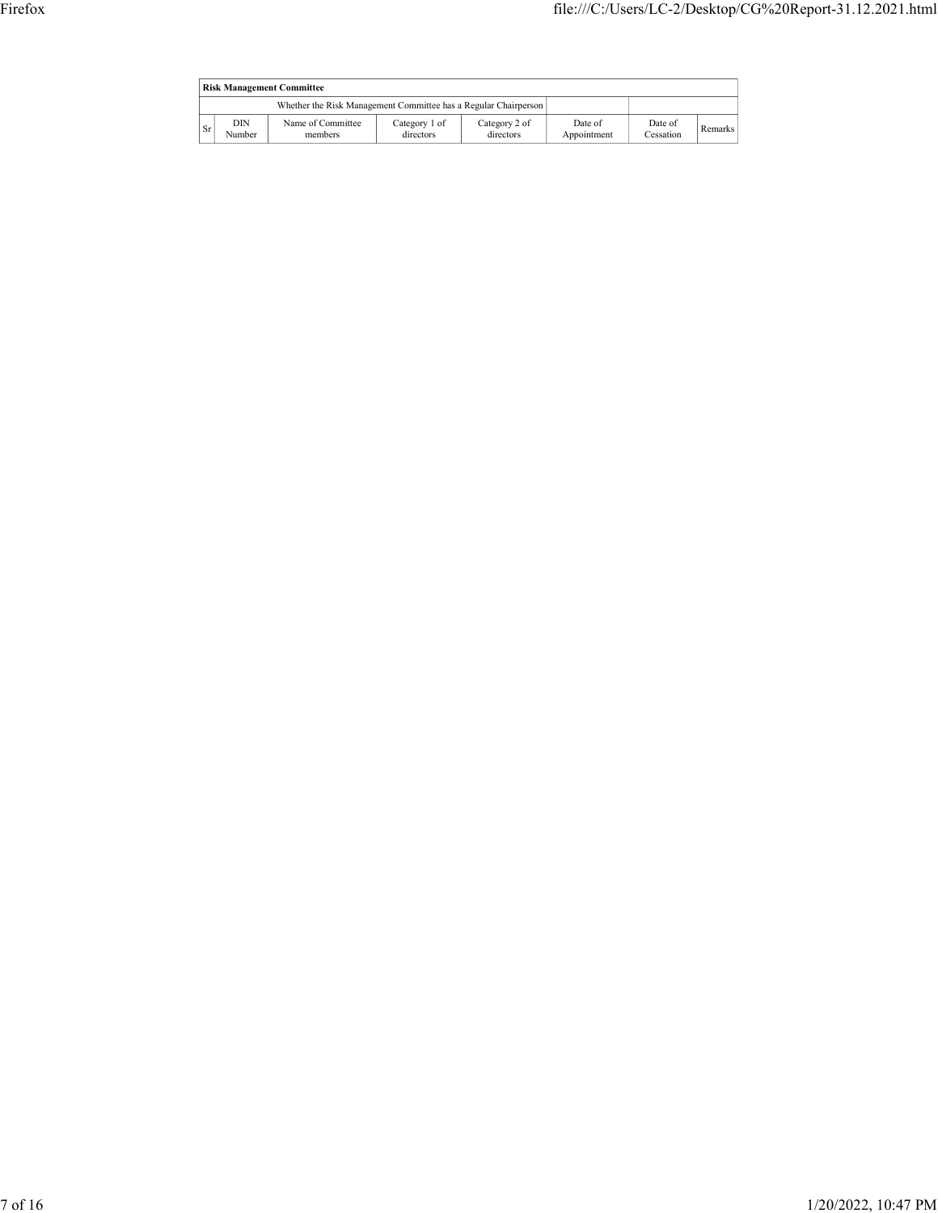| Firefox |         |                                  |                                                                 |                            |                            |                        |                      |         | file:///C:/Users/LC-2/Desktop/CG%20Report-31.12.2021.html |  |
|---------|---------|----------------------------------|-----------------------------------------------------------------|----------------------------|----------------------------|------------------------|----------------------|---------|-----------------------------------------------------------|--|
|         |         |                                  |                                                                 |                            |                            |                        |                      |         |                                                           |  |
|         |         | <b>Risk Management Committee</b> |                                                                 |                            |                            |                        |                      |         |                                                           |  |
|         |         |                                  | Whether the Risk Management Committee has a Regular Chairperson |                            |                            |                        |                      |         |                                                           |  |
|         | $ S_r $ | DIN<br>Number                    | Name of Committee<br>members                                    | Category 1 of<br>directors | Category 2 of<br>directors | Date of<br>Appointment | Date of<br>Cessation | Remarks |                                                           |  |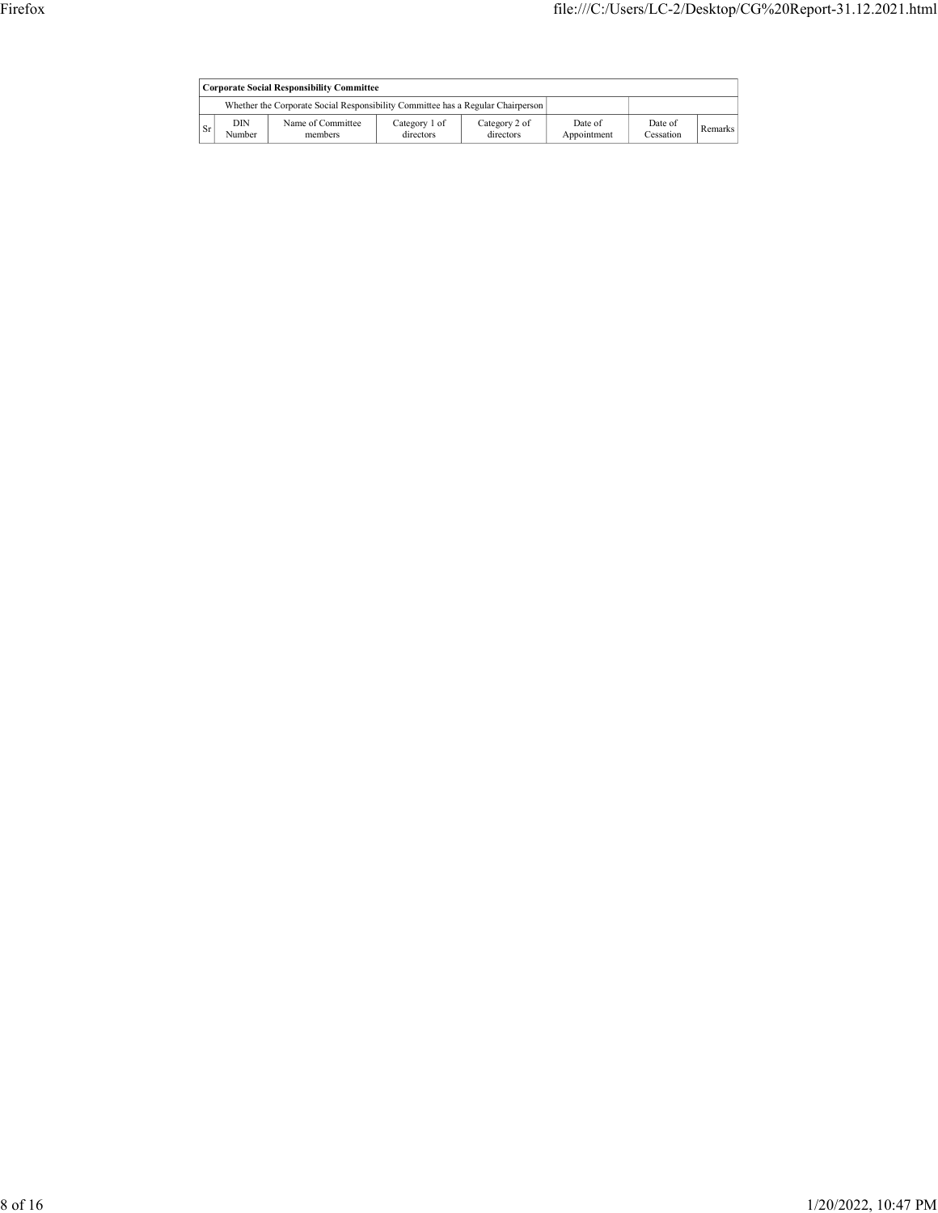| Firefox |         |               |                                                                                 |                            |                            |                        |                      |         | file:///C:/Users/LC-2/Desktop/CG%20Report-31.12.2021.html |  |
|---------|---------|---------------|---------------------------------------------------------------------------------|----------------------------|----------------------------|------------------------|----------------------|---------|-----------------------------------------------------------|--|
|         |         |               |                                                                                 |                            |                            |                        |                      |         |                                                           |  |
|         |         |               |                                                                                 |                            |                            |                        |                      |         |                                                           |  |
|         |         |               | <b>Corporate Social Responsibility Committee</b>                                |                            |                            |                        |                      |         |                                                           |  |
|         |         |               | Whether the Corporate Social Responsibility Committee has a Regular Chairperson |                            |                            |                        |                      |         |                                                           |  |
|         | $ S_r $ | DIN<br>Number | Name of Committee<br>members                                                    | Category 1 of<br>directors | Category 2 of<br>directors | Date of<br>Appointment | Date of<br>Cessation | Remarks |                                                           |  |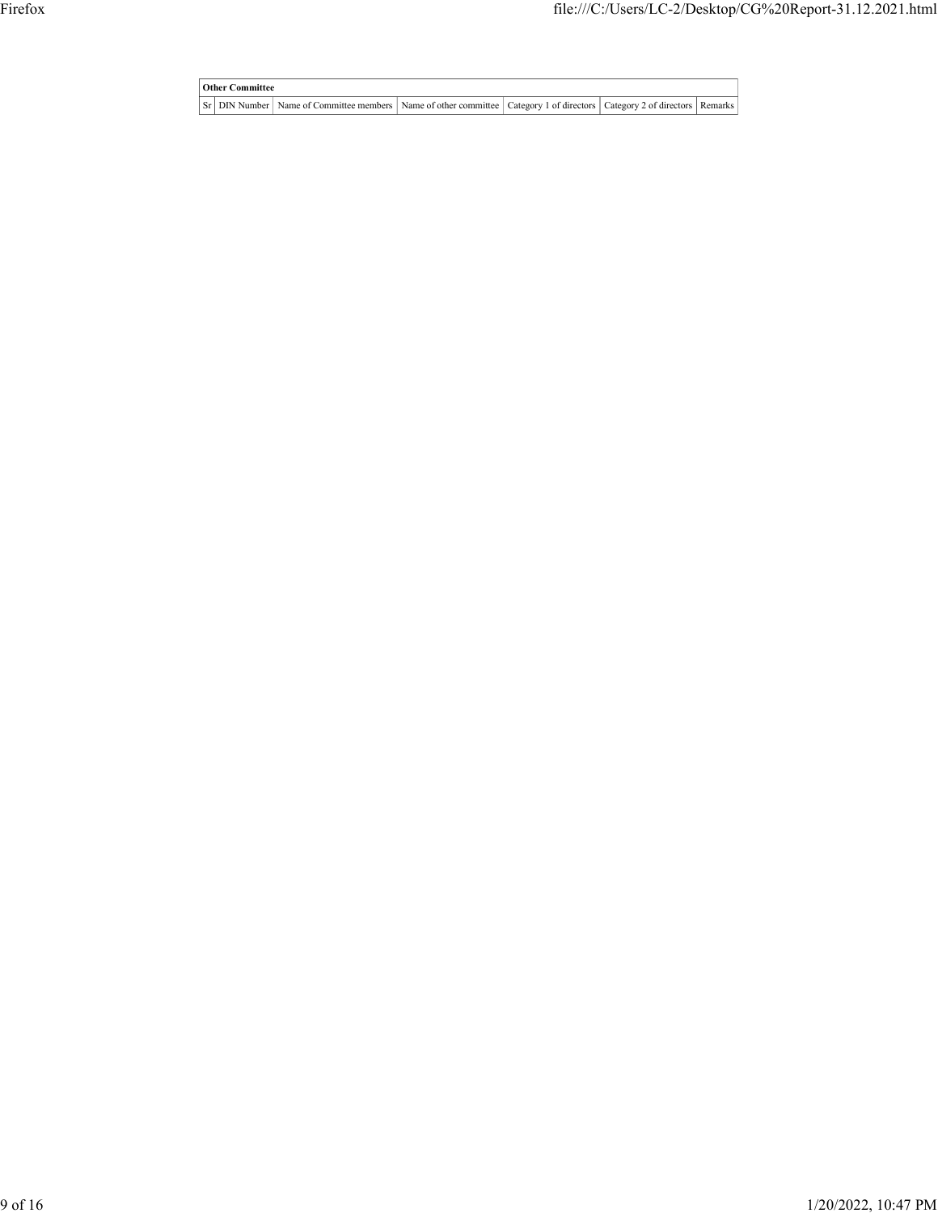Tile:///C:/Users/LC-2/Desktop/CG%20Report-31.12.2021.html<br>
Other Committee<br>
Sr DIN Number Name of Committee members Name of other committee Category 1 of directors Category 2 of directors Remarks File:///C:/Users/LC-2/Desktop/CG%20Report-31.12.2021.html<br>
The committee of Committee members Name of other committee Category 1 of directors | Category 2 of directors | Remarks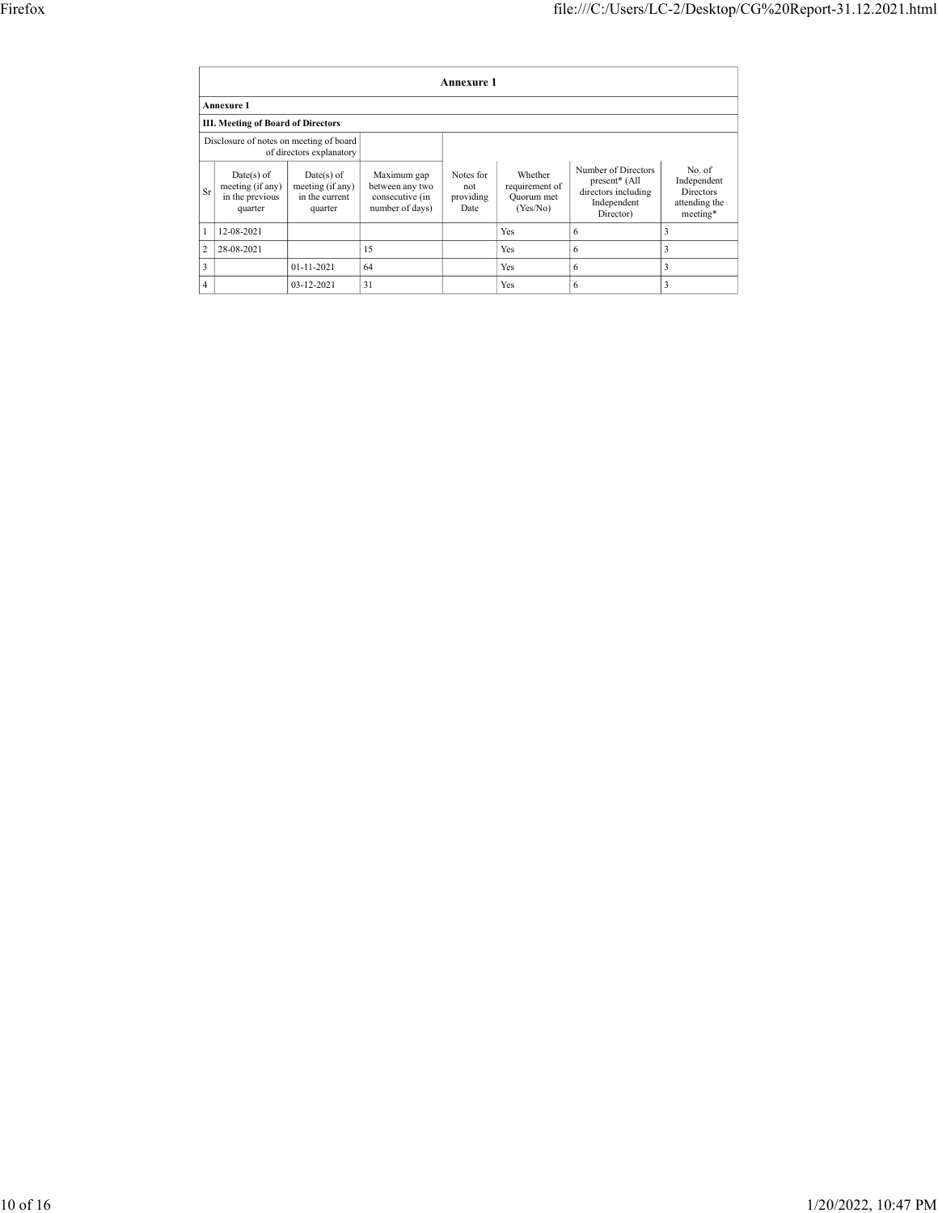|                        |                                                                                      |                                      |                                    |                  |                              | file:///C:/Users/LC-2/Desktop/CG%20Report-31.12.2021.html |                           |
|------------------------|--------------------------------------------------------------------------------------|--------------------------------------|------------------------------------|------------------|------------------------------|-----------------------------------------------------------|---------------------------|
|                        |                                                                                      |                                      |                                    |                  |                              |                                                           |                           |
|                        |                                                                                      |                                      |                                    |                  |                              |                                                           |                           |
|                        |                                                                                      |                                      |                                    |                  |                              |                                                           |                           |
|                        |                                                                                      |                                      |                                    | Annexure 1       |                              |                                                           |                           |
|                        | Annexure 1                                                                           |                                      |                                    |                  |                              |                                                           |                           |
|                        | <b>III. Meeting of Board of Directors</b><br>Disclosure of notes on meeting of board |                                      |                                    |                  |                              |                                                           |                           |
|                        |                                                                                      | of directors explanatory             |                                    |                  |                              |                                                           |                           |
|                        | $Date(s)$ of                                                                         | $Date(s)$ of                         | Maximum gap                        | Notes for        | Whether                      | Number of Directors<br>present* (All                      | No. of                    |
| $\rm Sr$               | meeting (if any)<br>in the previous                                                  | $meeting$ (if any)<br>in the current | between any two<br>consecutive (in | not<br>providing | requirement of<br>Quorum met | directors including                                       | Independent<br>Directors  |
|                        | quarter                                                                              | quarter                              | number of days)                    | Date             | (Yes/No)                     | Independent<br>Director)                                  | attending the<br>meeting* |
| $\mathbf{1}$           | $12 - 08 - 2021$                                                                     |                                      |                                    |                  | $\operatorname{Yes}$         | 6                                                         | $\overline{3}$            |
|                        | $2 \overline{)28 - 08 - 2021}$                                                       |                                      | $15\,$                             |                  | Yes                          | 6                                                         | $\vert$ 3                 |
| $\vert$ 3<br>$\vert$ 4 |                                                                                      | $01 - 11 - 2021$<br>03-12-2021       | 64<br> 31                          |                  | Yes<br>Yes                   | 6<br>6                                                    | $\vert$ 3<br>$\vert$ 3    |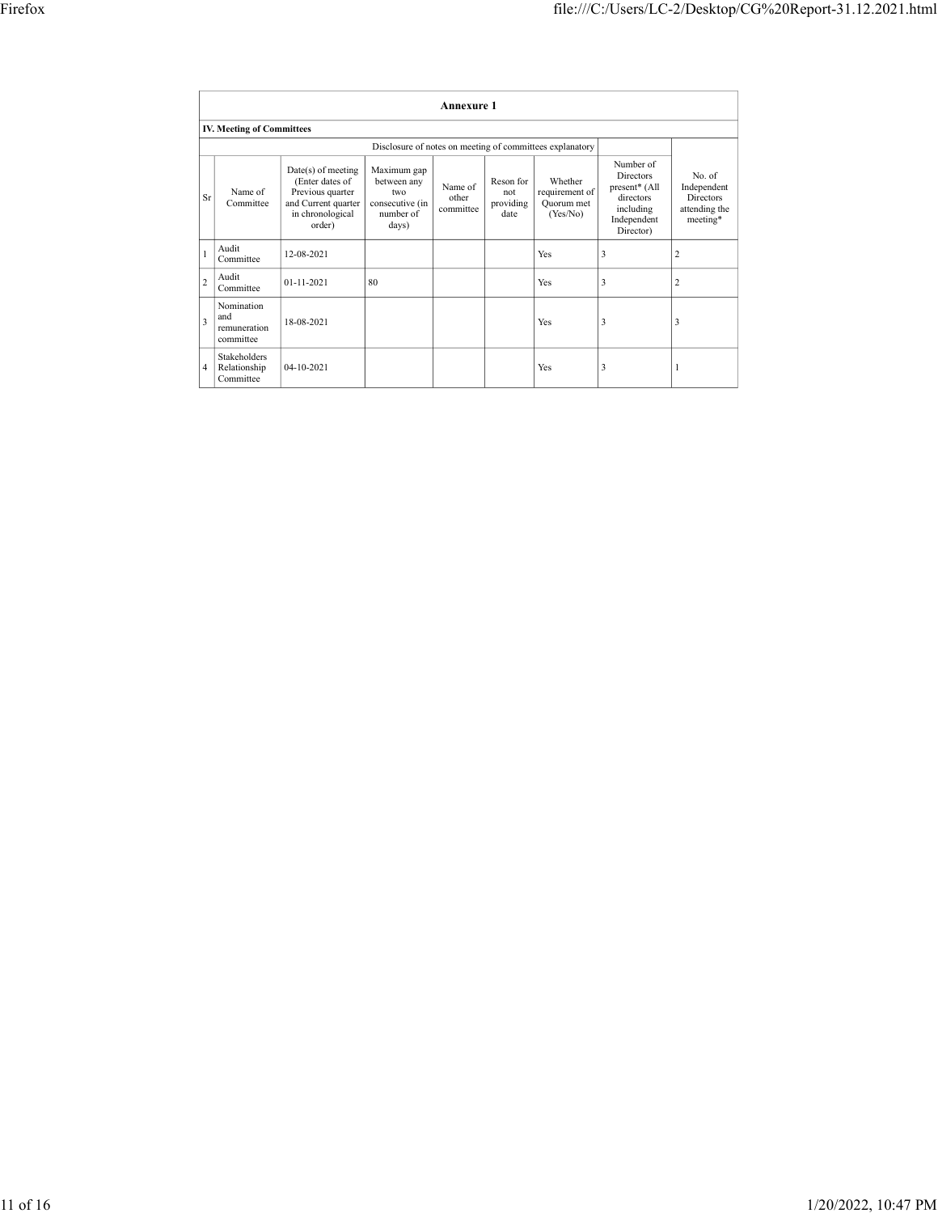|                         |                                         |                                                                                                                |                                                                                                                                        |                               |                                       |                                                     | file:///C:/Users/LC-2/Desktop/CG%20Report-31.12.2021.html                                     |                                                                                   |
|-------------------------|-----------------------------------------|----------------------------------------------------------------------------------------------------------------|----------------------------------------------------------------------------------------------------------------------------------------|-------------------------------|---------------------------------------|-----------------------------------------------------|-----------------------------------------------------------------------------------------------|-----------------------------------------------------------------------------------|
|                         |                                         |                                                                                                                |                                                                                                                                        |                               |                                       |                                                     |                                                                                               |                                                                                   |
|                         |                                         |                                                                                                                |                                                                                                                                        |                               |                                       |                                                     |                                                                                               |                                                                                   |
|                         |                                         |                                                                                                                |                                                                                                                                        | Annexure 1                    |                                       |                                                     |                                                                                               |                                                                                   |
|                         | <b>IV. Meeting of Committees</b>        |                                                                                                                |                                                                                                                                        |                               |                                       |                                                     |                                                                                               |                                                                                   |
| $\rm Sr$                | Name of<br>Committee                    | Date(s) of meeting<br>(Enter dates of<br>Previous quarter<br>and Current quarter<br>in chronological<br>order) | Disclosure of notes on meeting of committees explanatory<br>Maximum gap<br>between any<br>two<br>consecutive (in<br>number of<br>days) | Name of<br>other<br>committee | Reson for<br>not<br>providing<br>date | Whether<br>requirement of<br>Quorum met<br>(Yes/No) | Number of<br>Directors<br>present* (All<br>directors<br>including<br>Independent<br>Director) | No. of<br>Independent<br>Directors<br>attending the meeting $\hspace{-.08in}{}^*$ |
|                         | Audit<br>Committee                      | 12-08-2021                                                                                                     |                                                                                                                                        |                               |                                       | Yes                                                 | $\vert 3 \vert$                                                                               | $\overline{2}$                                                                    |
| Audit<br>$\overline{c}$ | Committee                               | $01 - 11 - 2021$                                                                                               | 80                                                                                                                                     |                               |                                       | Yes                                                 | $\vert 3 \vert$                                                                               | $\vert$ 2                                                                         |
| and<br>$\overline{3}$   | Nomination<br>remuneration<br>committee | 18-08-2021                                                                                                     |                                                                                                                                        |                               |                                       | $\operatorname{Yes}$                                | $\vert 3 \vert$                                                                               | $\vert$ 3                                                                         |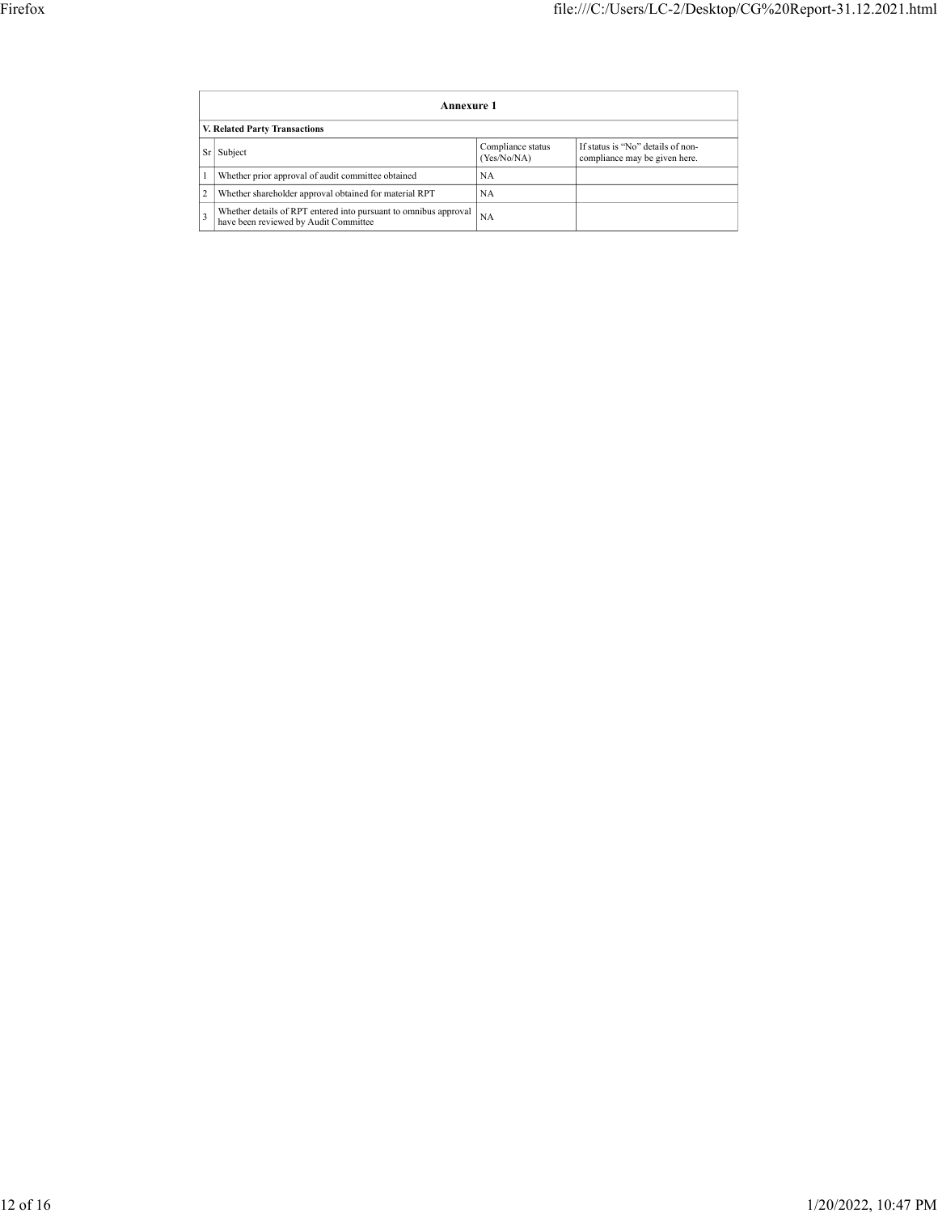|                                                                                                                |                                           | file:///C:/Users/LC-2/Desktop/CG%20Report-31.12.2021.html |
|----------------------------------------------------------------------------------------------------------------|-------------------------------------------|-----------------------------------------------------------|
|                                                                                                                |                                           |                                                           |
|                                                                                                                |                                           |                                                           |
|                                                                                                                |                                           |                                                           |
| Annexure 1                                                                                                     |                                           |                                                           |
| V. Related Party Transactions<br>Sr Subject                                                                    |                                           | If status is "No" details of non-                         |
| 1                                                                                                              | Compliance status<br>(Yes/No/NA)<br>$N_A$ | compliance may be given here.                             |
| Whether prior approval of audit committee obtained<br>2 Whether shareholder approval obtained for material RPT | NA                                        |                                                           |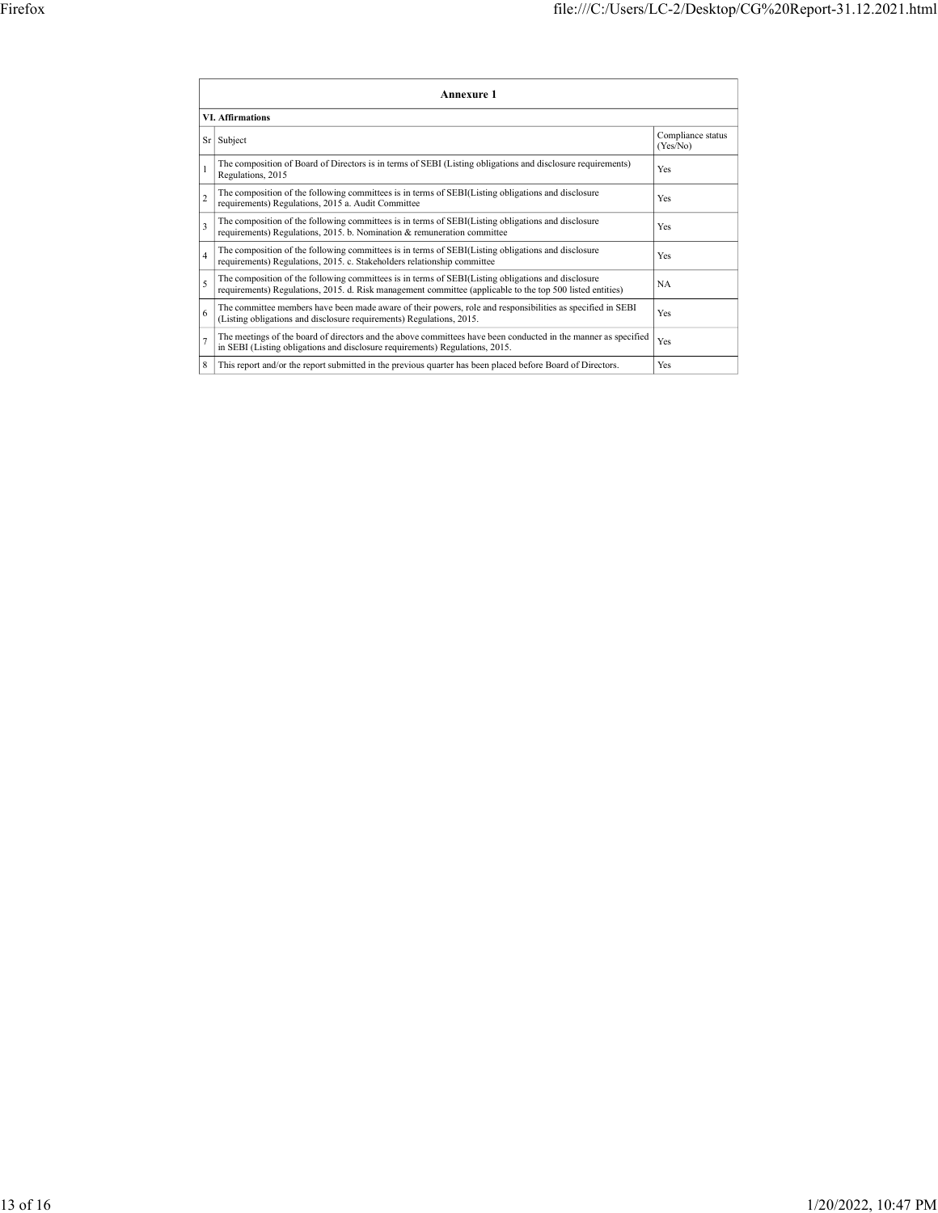|                                                                                                                                                      | file:///C:/Users/LC-2/Desktop/CG%20Report-31.12.2021.html                                                                                                                                                               |                               |
|------------------------------------------------------------------------------------------------------------------------------------------------------|-------------------------------------------------------------------------------------------------------------------------------------------------------------------------------------------------------------------------|-------------------------------|
|                                                                                                                                                      |                                                                                                                                                                                                                         |                               |
|                                                                                                                                                      |                                                                                                                                                                                                                         |                               |
|                                                                                                                                                      |                                                                                                                                                                                                                         |                               |
|                                                                                                                                                      |                                                                                                                                                                                                                         |                               |
|                                                                                                                                                      | Annexure 1                                                                                                                                                                                                              |                               |
| <b>VI. Affirmations</b>                                                                                                                              |                                                                                                                                                                                                                         |                               |
| Sr Subject                                                                                                                                           |                                                                                                                                                                                                                         | Compliance status<br>(Yes/No) |
| Regulations, 2015                                                                                                                                    | The composition of Board of Directors is in terms of SEBI (Listing obligations and disclosure requirements)                                                                                                             | Yes                           |
| requirements) Regulations, 2015 a. Audit Committee                                                                                                   | The composition of the following committees is in terms of SEBI(Listing obligations and disclosure                                                                                                                      | Yes                           |
| requirements) Regulations, 2015. b. Nomination & remuneration committee                                                                              | The composition of the following committees is in terms of SEBI(Listing obligations and disclosure                                                                                                                      | Yes                           |
|                                                                                                                                                      | The composition of the following committees is in terms of SEBI(Listing obligations and disclosure                                                                                                                      | Yes                           |
| requirements) Regulations, 2015. c. Stakeholders relationship committee                                                                              | The composition of the following committees is in terms of SEBI(Listing obligations and disclosure                                                                                                                      | NA                            |
|                                                                                                                                                      | requirements) Regulations, 2015. d. Risk management committee (applicable to the top 500 listed entities)<br>The committee members have been made aware of their powers, role and responsibilities as specified in SEBI | Yes                           |
| (Listing obligations and disclosure requirements) Regulations, 2015.<br>in SEBI (Listing obligations and disclosure requirements) Regulations, 2015. | The meetings of the board of directors and the above committees have been conducted in the manner as specified                                                                                                          | Yes                           |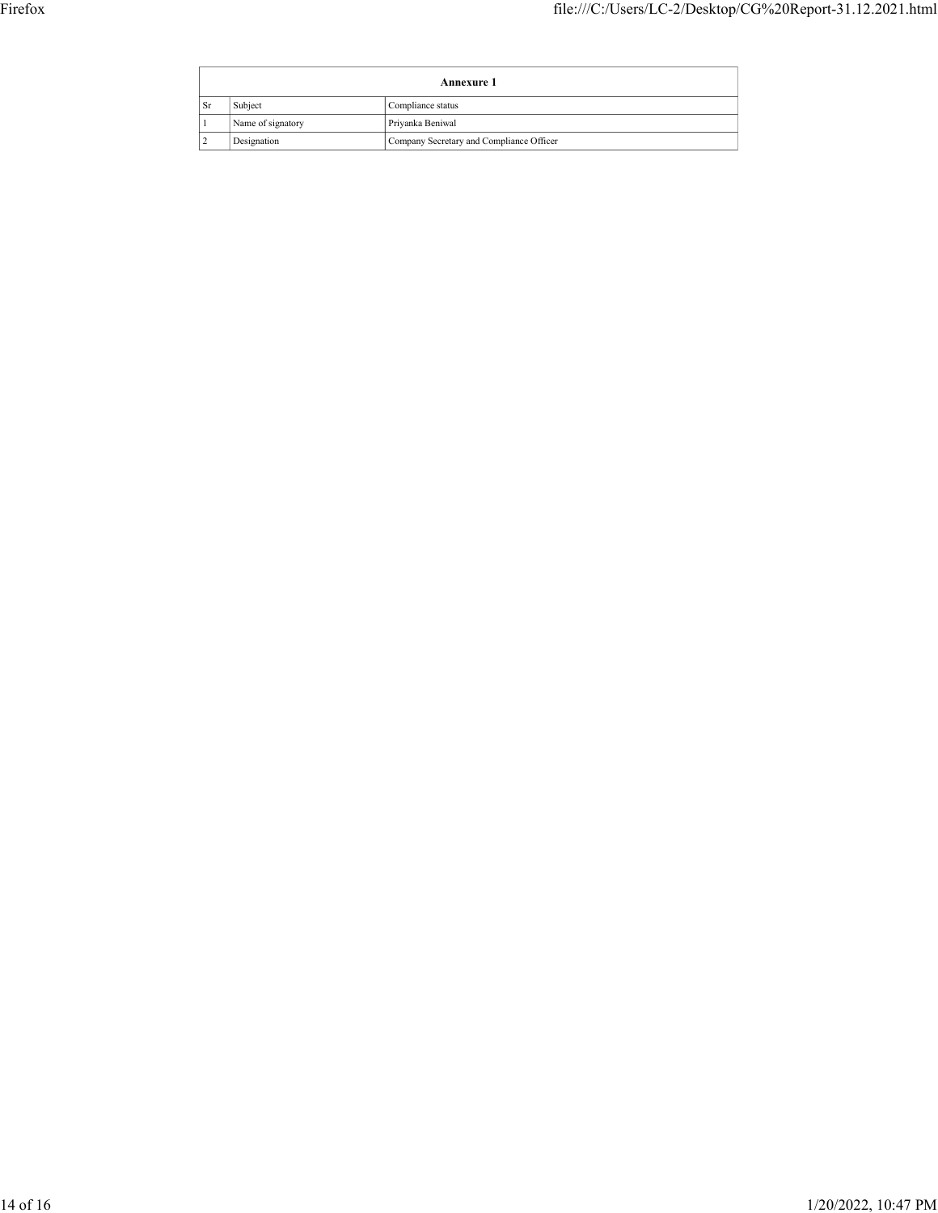|                      |                              |                                       | file:///C:/Users/LC-2/Desktop/CG%20Report-31.12.2021.html |  |
|----------------------|------------------------------|---------------------------------------|-----------------------------------------------------------|--|
|                      |                              |                                       |                                                           |  |
|                      |                              | Annexure 1                            |                                                           |  |
| $ S_r $<br>$\vert$ 1 | Subject<br>Name of signatory | Compliance status<br>Priyanka Beniwal |                                                           |  |